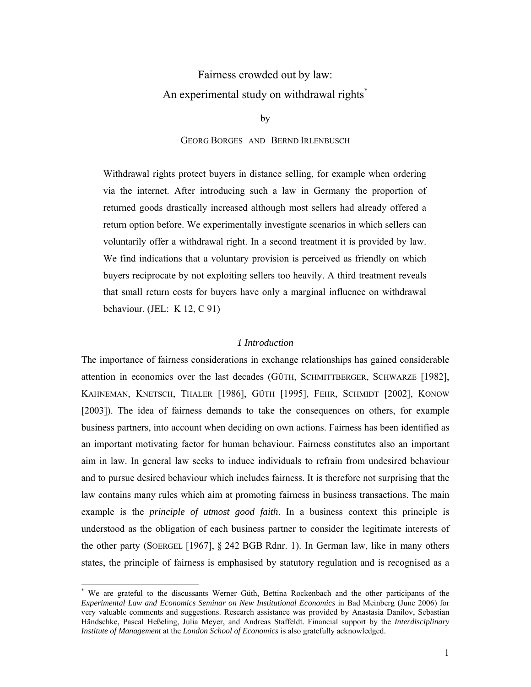# Fairness crowded out by law: An experimental study on withdrawal rights<sup>\*</sup>

by

#### GEORG BORGES AND BERND IRLENBUSCH

Withdrawal rights protect buyers in distance selling, for example when ordering via the internet. After introducing such a law in Germany the proportion of returned goods drastically increased although most sellers had already offered a return option before. We experimentally investigate scenarios in which sellers can voluntarily offer a withdrawal right. In a second treatment it is provided by law. We find indications that a voluntary provision is perceived as friendly on which buyers reciprocate by not exploiting sellers too heavily. A third treatment reveals that small return costs for buyers have only a marginal influence on withdrawal behaviour. (JEL: K 12, C 91)

# *1 Introduction*

The importance of fairness considerations in exchange relationships has gained considerable attention in economics over the last decades (GÜTH, SCHMITTBERGER, SCHWARZE [1982], KAHNEMAN, KNETSCH, THALER [1986], GÜTH [1995], FEHR, SCHMIDT [2002], KONOW [2003]). The idea of fairness demands to take the consequences on others, for example business partners, into account when deciding on own actions. Fairness has been identified as an important motivating factor for human behaviour. Fairness constitutes also an important aim in law. In general law seeks to induce individuals to refrain from undesired behaviour and to pursue desired behaviour which includes fairness. It is therefore not surprising that the law contains many rules which aim at promoting fairness in business transactions. The main example is the *principle of utmost good faith*. In a business context this principle is understood as the obligation of each business partner to consider the legitimate interests of the other party (SOERGEL [1967], § 242 BGB Rdnr. 1). In German law, like in many others states, the principle of fairness is emphasised by statutory regulation and is recognised as a

-

<sup>\*</sup> We are grateful to the discussants Werner Güth, Bettina Rockenbach and the other participants of the *Experimental Law and Economics Seminar on New Institutional Economics* in Bad Meinberg (June 2006) for very valuable comments and suggestions. Research assistance was provided by Anastasia Danilov, Sebastian Händschke, Pascal Heßeling, Julia Meyer, and Andreas Staffeldt. Financial support by the *Interdisciplinary Institute of Management* at the *London School of Economics* is also gratefully acknowledged.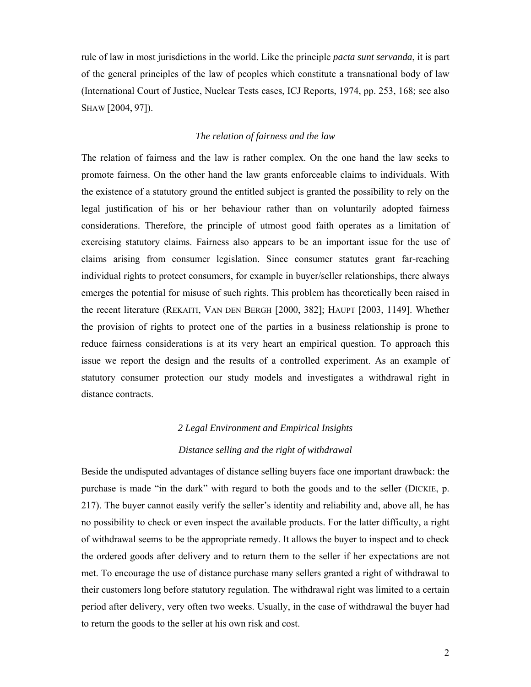rule of law in most jurisdictions in the world. Like the principle *pacta sunt servanda*, it is part of the general principles of the law of peoples which constitute a transnational body of law (International Court of Justice, Nuclear Tests cases, ICJ Reports, 1974, pp. 253, 168; see also SHAW [2004, 97]).

## *The relation of fairness and the law*

The relation of fairness and the law is rather complex. On the one hand the law seeks to promote fairness. On the other hand the law grants enforceable claims to individuals. With the existence of a statutory ground the entitled subject is granted the possibility to rely on the legal justification of his or her behaviour rather than on voluntarily adopted fairness considerations. Therefore, the principle of utmost good faith operates as a limitation of exercising statutory claims. Fairness also appears to be an important issue for the use of claims arising from consumer legislation. Since consumer statutes grant far-reaching individual rights to protect consumers, for example in buyer/seller relationships, there always emerges the potential for misuse of such rights. This problem has theoretically been raised in the recent literature (REKAITI, VAN DEN BERGH [2000, 382]; HAUPT [2003, 1149]. Whether the provision of rights to protect one of the parties in a business relationship is prone to reduce fairness considerations is at its very heart an empirical question. To approach this issue we report the design and the results of a controlled experiment. As an example of statutory consumer protection our study models and investigates a withdrawal right in distance contracts.

# *2 Legal Environment and Empirical Insights*

#### *Distance selling and the right of withdrawal*

Beside the undisputed advantages of distance selling buyers face one important drawback: the purchase is made "in the dark" with regard to both the goods and to the seller (DICKIE, p. 217). The buyer cannot easily verify the seller's identity and reliability and, above all, he has no possibility to check or even inspect the available products. For the latter difficulty, a right of withdrawal seems to be the appropriate remedy. It allows the buyer to inspect and to check the ordered goods after delivery and to return them to the seller if her expectations are not met. To encourage the use of distance purchase many sellers granted a right of withdrawal to their customers long before statutory regulation. The withdrawal right was limited to a certain period after delivery, very often two weeks. Usually, in the case of withdrawal the buyer had to return the goods to the seller at his own risk and cost.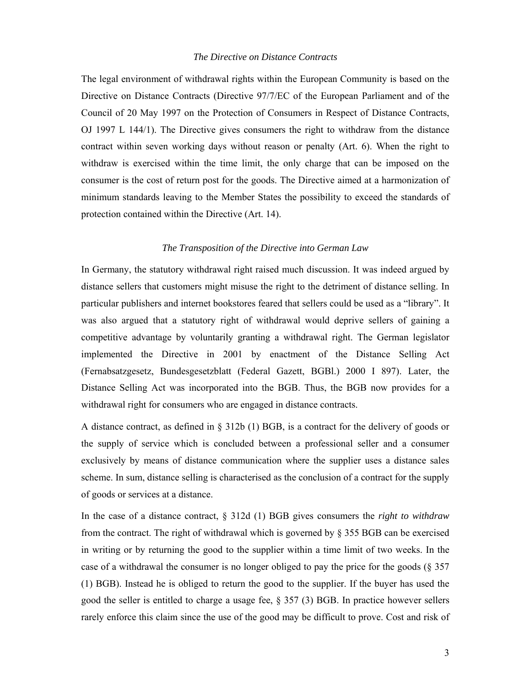#### *The Directive on Distance Contracts*

The legal environment of withdrawal rights within the European Community is based on the Directive on Distance Contracts (Directive 97/7/EC of the European Parliament and of the Council of 20 May 1997 on the Protection of Consumers in Respect of Distance Contracts, OJ 1997 L 144/1). The Directive gives consumers the right to withdraw from the distance contract within seven working days without reason or penalty (Art. 6). When the right to withdraw is exercised within the time limit, the only charge that can be imposed on the consumer is the cost of return post for the goods. The Directive aimed at a harmonization of minimum standards leaving to the Member States the possibility to exceed the standards of protection contained within the Directive (Art. 14).

# *The Transposition of the Directive into German Law*

In Germany, the statutory withdrawal right raised much discussion. It was indeed argued by distance sellers that customers might misuse the right to the detriment of distance selling. In particular publishers and internet bookstores feared that sellers could be used as a "library". It was also argued that a statutory right of withdrawal would deprive sellers of gaining a competitive advantage by voluntarily granting a withdrawal right. The German legislator implemented the Directive in 2001 by enactment of the Distance Selling Act (Fernabsatzgesetz, Bundesgesetzblatt (Federal Gazett, BGBl.) 2000 I 897). Later, the Distance Selling Act was incorporated into the BGB. Thus, the BGB now provides for a withdrawal right for consumers who are engaged in distance contracts.

A distance contract, as defined in § 312b (1) BGB, is a contract for the delivery of goods or the supply of service which is concluded between a professional seller and a consumer exclusively by means of distance communication where the supplier uses a distance sales scheme. In sum, distance selling is characterised as the conclusion of a contract for the supply of goods or services at a distance.

In the case of a distance contract, § 312d (1) BGB gives consumers the *right to withdraw* from the contract. The right of withdrawal which is governed by § 355 BGB can be exercised in writing or by returning the good to the supplier within a time limit of two weeks. In the case of a withdrawal the consumer is no longer obliged to pay the price for the goods (§ 357 (1) BGB). Instead he is obliged to return the good to the supplier. If the buyer has used the good the seller is entitled to charge a usage fee, § 357 (3) BGB. In practice however sellers rarely enforce this claim since the use of the good may be difficult to prove. Cost and risk of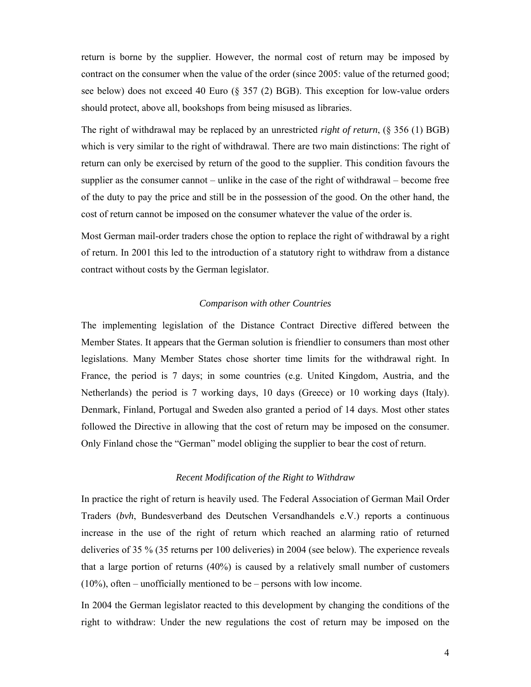return is borne by the supplier. However, the normal cost of return may be imposed by contract on the consumer when the value of the order (since 2005: value of the returned good; see below) does not exceed 40 Euro (§ 357 (2) BGB). This exception for low-value orders should protect, above all, bookshops from being misused as libraries.

The right of withdrawal may be replaced by an unrestricted *right of return*, (§ 356 (1) BGB) which is very similar to the right of withdrawal. There are two main distinctions: The right of return can only be exercised by return of the good to the supplier. This condition favours the supplier as the consumer cannot – unlike in the case of the right of withdrawal – become free of the duty to pay the price and still be in the possession of the good. On the other hand, the cost of return cannot be imposed on the consumer whatever the value of the order is.

Most German mail-order traders chose the option to replace the right of withdrawal by a right of return. In 2001 this led to the introduction of a statutory right to withdraw from a distance contract without costs by the German legislator.

## *Comparison with other Countries*

The implementing legislation of the Distance Contract Directive differed between the Member States. It appears that the German solution is friendlier to consumers than most other legislations. Many Member States chose shorter time limits for the withdrawal right. In France, the period is 7 days; in some countries (e.g. United Kingdom, Austria, and the Netherlands) the period is 7 working days, 10 days (Greece) or 10 working days (Italy). Denmark, Finland, Portugal and Sweden also granted a period of 14 days. Most other states followed the Directive in allowing that the cost of return may be imposed on the consumer. Only Finland chose the "German" model obliging the supplier to bear the cost of return.

## *Recent Modification of the Right to Withdraw*

In practice the right of return is heavily used. The Federal Association of German Mail Order Traders (*bvh*, Bundesverband des Deutschen Versandhandels e.V.) reports a continuous increase in the use of the right of return which reached an alarming ratio of returned deliveries of 35 % (35 returns per 100 deliveries) in 2004 (see below). The experience reveals that a large portion of returns (40%) is caused by a relatively small number of customers  $(10\%)$ , often – unofficially mentioned to be – persons with low income.

In 2004 the German legislator reacted to this development by changing the conditions of the right to withdraw: Under the new regulations the cost of return may be imposed on the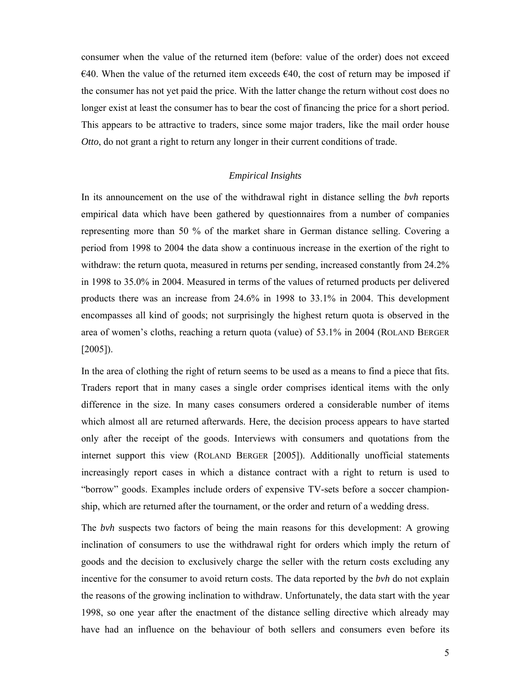consumer when the value of the returned item (before: value of the order) does not exceed  $\epsilon$ 40. When the value of the returned item exceeds  $\epsilon$ 40, the cost of return may be imposed if the consumer has not yet paid the price. With the latter change the return without cost does no longer exist at least the consumer has to bear the cost of financing the price for a short period. This appears to be attractive to traders, since some major traders, like the mail order house *Otto*, do not grant a right to return any longer in their current conditions of trade.

# *Empirical Insights*

In its announcement on the use of the withdrawal right in distance selling the *bvh* reports empirical data which have been gathered by questionnaires from a number of companies representing more than 50 % of the market share in German distance selling. Covering a period from 1998 to 2004 the data show a continuous increase in the exertion of the right to withdraw: the return quota, measured in returns per sending, increased constantly from 24.2% in 1998 to 35.0% in 2004. Measured in terms of the values of returned products per delivered products there was an increase from 24.6% in 1998 to 33.1% in 2004. This development encompasses all kind of goods; not surprisingly the highest return quota is observed in the area of women's cloths, reaching a return quota (value) of 53.1% in 2004 (ROLAND BERGER [2005]).

In the area of clothing the right of return seems to be used as a means to find a piece that fits. Traders report that in many cases a single order comprises identical items with the only difference in the size. In many cases consumers ordered a considerable number of items which almost all are returned afterwards. Here, the decision process appears to have started only after the receipt of the goods. Interviews with consumers and quotations from the internet support this view (ROLAND BERGER [2005]). Additionally unofficial statements increasingly report cases in which a distance contract with a right to return is used to "borrow" goods. Examples include orders of expensive TV-sets before a soccer championship, which are returned after the tournament, or the order and return of a wedding dress.

The *bvh* suspects two factors of being the main reasons for this development: A growing inclination of consumers to use the withdrawal right for orders which imply the return of goods and the decision to exclusively charge the seller with the return costs excluding any incentive for the consumer to avoid return costs. The data reported by the *bvh* do not explain the reasons of the growing inclination to withdraw. Unfortunately, the data start with the year 1998, so one year after the enactment of the distance selling directive which already may have had an influence on the behaviour of both sellers and consumers even before its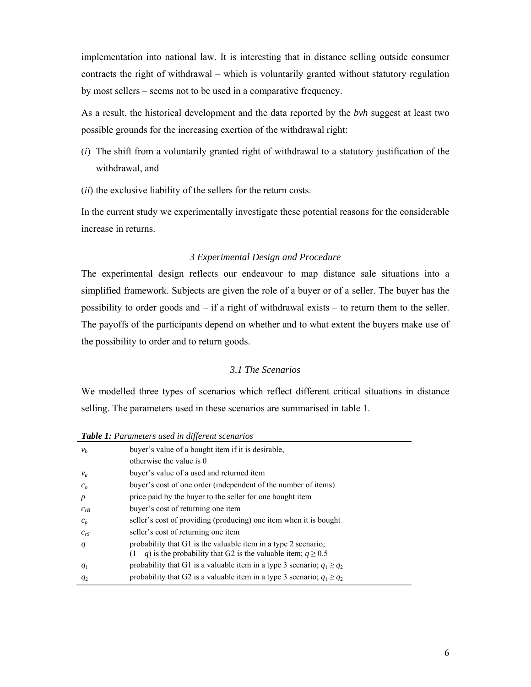implementation into national law. It is interesting that in distance selling outside consumer contracts the right of withdrawal – which is voluntarily granted without statutory regulation by most sellers – seems not to be used in a comparative frequency.

As a result, the historical development and the data reported by the *bvh* suggest at least two possible grounds for the increasing exertion of the withdrawal right:

- (*i*) The shift from a voluntarily granted right of withdrawal to a statutory justification of the withdrawal, and
- (*ii*) the exclusive liability of the sellers for the return costs.

In the current study we experimentally investigate these potential reasons for the considerable increase in returns.

# *3 Experimental Design and Procedure*

The experimental design reflects our endeavour to map distance sale situations into a simplified framework. Subjects are given the role of a buyer or of a seller. The buyer has the possibility to order goods and – if a right of withdrawal exists – to return them to the seller. The payoffs of the participants depend on whether and to what extent the buyers make use of the possibility to order and to return goods.

# *3.1 The Scenarios*

We modelled three types of scenarios which reflect different critical situations in distance selling. The parameters used in these scenarios are summarised in table 1.

*Table 1: Parameters used in different scenarios* 

| $\sim$ word $\sim$ . The concentration of the contract of the second to be |                                                                                                                                        |  |  |  |  |  |  |
|----------------------------------------------------------------------------|----------------------------------------------------------------------------------------------------------------------------------------|--|--|--|--|--|--|
| v <sub>b</sub>                                                             | buyer's value of a bought item if it is desirable,                                                                                     |  |  |  |  |  |  |
|                                                                            | otherwise the value is 0                                                                                                               |  |  |  |  |  |  |
| $v_u$                                                                      | buyer's value of a used and returned item                                                                                              |  |  |  |  |  |  |
| c <sub>o</sub>                                                             | buyer's cost of one order (independent of the number of items)                                                                         |  |  |  |  |  |  |
| $\boldsymbol{p}$                                                           | price paid by the buyer to the seller for one bought item                                                                              |  |  |  |  |  |  |
| $c_{rB}$                                                                   | buyer's cost of returning one item                                                                                                     |  |  |  |  |  |  |
| $c_p$                                                                      | seller's cost of providing (producing) one item when it is bought                                                                      |  |  |  |  |  |  |
| $c_{rS}$                                                                   | seller's cost of returning one item                                                                                                    |  |  |  |  |  |  |
| q                                                                          | probability that G1 is the valuable item in a type 2 scenario;<br>$(1-q)$ is the probability that G2 is the valuable item; $q \ge 0.5$ |  |  |  |  |  |  |
| $q_1$                                                                      | probability that G1 is a valuable item in a type 3 scenario; $q_1 \ge q_2$                                                             |  |  |  |  |  |  |
| $q_2$                                                                      | probability that G2 is a valuable item in a type 3 scenario; $q_1 \ge q_2$                                                             |  |  |  |  |  |  |
|                                                                            |                                                                                                                                        |  |  |  |  |  |  |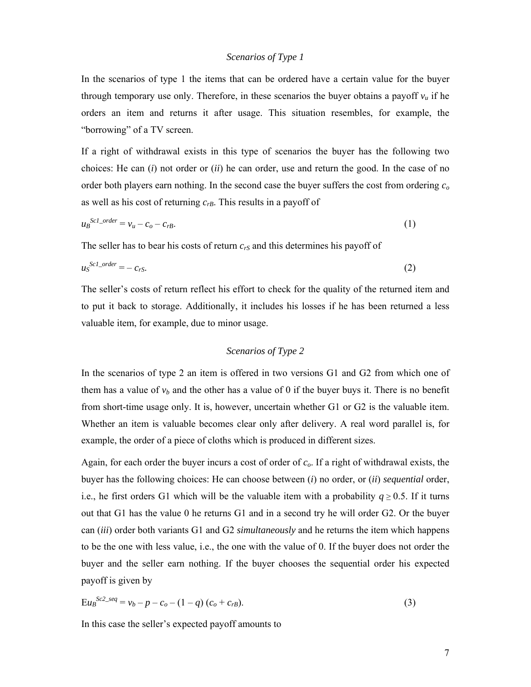# *Scenarios of Type 1*

In the scenarios of type 1 the items that can be ordered have a certain value for the buyer through temporary use only. Therefore, in these scenarios the buyer obtains a payoff  $v<sub>u</sub>$  if he orders an item and returns it after usage. This situation resembles, for example, the "borrowing" of a TV screen.

If a right of withdrawal exists in this type of scenarios the buyer has the following two choices: He can (*i*) not order or (*ii*) he can order, use and return the good. In the case of no order both players earn nothing. In the second case the buyer suffers the cost from ordering *co* as well as his cost of returning *crB*. This results in a payoff of

$$
u_B^{Scl\_order} = v_u - c_o - c_{rB}.\tag{1}
$$

The seller has to bear his costs of return  $c_{rs}$  and this determines his payoff of

$$
u_S^{Scl\_order} = -c_{rS}.\tag{2}
$$

The seller's costs of return reflect his effort to check for the quality of the returned item and to put it back to storage. Additionally, it includes his losses if he has been returned a less valuable item, for example, due to minor usage.

## *Scenarios of Type 2*

In the scenarios of type 2 an item is offered in two versions G1 and G2 from which one of them has a value of  $v<sub>b</sub>$  and the other has a value of 0 if the buyer buys it. There is no benefit from short-time usage only. It is, however, uncertain whether G1 or G2 is the valuable item. Whether an item is valuable becomes clear only after delivery. A real word parallel is, for example, the order of a piece of cloths which is produced in different sizes.

Again, for each order the buyer incurs a cost of order of *co*. If a right of withdrawal exists, the buyer has the following choices: He can choose between (*i*) no order, or (*ii*) *sequential* order, i.e., he first orders G1 which will be the valuable item with a probability  $q \ge 0.5$ . If it turns out that G1 has the value 0 he returns G1 and in a second try he will order G2. Or the buyer can (*iii*) order both variants G1 and G2 *simultaneously* and he returns the item which happens to be the one with less value, i.e., the one with the value of 0. If the buyer does not order the buyer and the seller earn nothing. If the buyer chooses the sequential order his expected payoff is given by

$$
Eu_B{}^{Sc2\_seq} = v_b - p - c_o - (1 - q) (c_o + c_{rB}).
$$
\n(3)

In this case the seller's expected payoff amounts to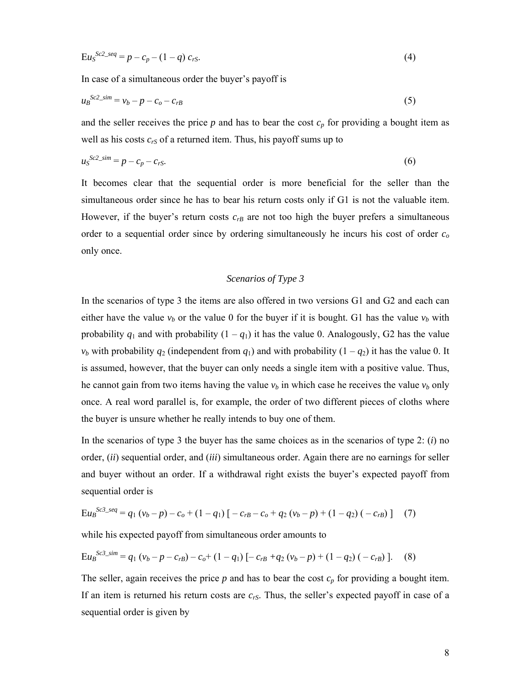$$
EuS^{Sc2\_seq} = p - c_p - (1 - q) c_{rs}.
$$
 (4)

In case of a simultaneous order the buyer's payoff is

$$
u_B{}^{Sc2\_sim} = v_b - p - c_o - c_{rB} \tag{5}
$$

and the seller receives the price  $p$  and has to bear the cost  $c_p$  for providing a bought item as well as his costs  $c_{rS}$  of a returned item. Thus, his payoff sums up to

$$
u_S^{Sc2\_sim} = p - c_p - c_{rS}.\tag{6}
$$

It becomes clear that the sequential order is more beneficial for the seller than the simultaneous order since he has to bear his return costs only if G1 is not the valuable item. However, if the buyer's return costs  $c_{rB}$  are not too high the buyer prefers a simultaneous order to a sequential order since by ordering simultaneously he incurs his cost of order *co* only once.

# *Scenarios of Type 3*

In the scenarios of type 3 the items are also offered in two versions G1 and G2 and each can either have the value  $v_b$  or the value 0 for the buyer if it is bought. G1 has the value  $v_b$  with probability  $q_1$  and with probability  $(1 - q_1)$  it has the value 0. Analogously, G2 has the value *v<sub>b</sub>* with probability  $q_2$  (independent from  $q_1$ ) and with probability  $(1 - q_2)$  it has the value 0. It is assumed, however, that the buyer can only needs a single item with a positive value. Thus, he cannot gain from two items having the value  $v_b$  in which case he receives the value  $v_b$  only once. A real word parallel is, for example, the order of two different pieces of cloths where the buyer is unsure whether he really intends to buy one of them.

In the scenarios of type 3 the buyer has the same choices as in the scenarios of type 2: (*i*) no order, (*ii*) sequential order, and (*iii*) simultaneous order. Again there are no earnings for seller and buyer without an order. If a withdrawal right exists the buyer's expected payoff from sequential order is

$$
Eu_{B}^{Sc3\_seq} = q_1 (v_b - p) - c_o + (1 - q_1) \left[ -c_{rB} - c_o + q_2 (v_b - p) + (1 - q_2) (-c_{rB}) \right] \tag{7}
$$

while his expected payoff from simultaneous order amounts to

$$
Eu_{B}^{Sc3\_sim} = q_{1}(v_{b} - p - c_{rB}) - c_{o} + (1 - q_{1}) \left[ -c_{rB} + q_{2}(v_{b} - p) + (1 - q_{2})(-c_{rB}) \right].
$$
 (8)

The seller, again receives the price  $p$  and has to bear the cost  $c_p$  for providing a bought item. If an item is returned his return costs are *crS*. Thus, the seller's expected payoff in case of a sequential order is given by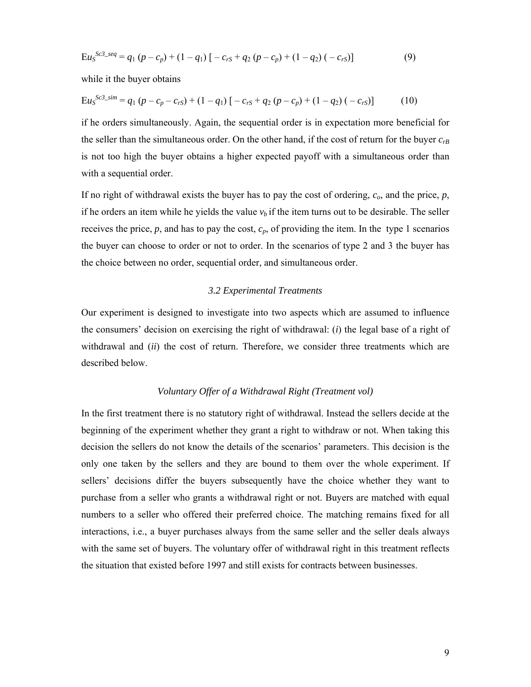$$
EuSSc3 - seq = q1 (p - cp) + (1 - q1) [ - crs + q2 (p - cp) + (1 - q2) (- crs )]
$$
 (9)

while it the buyer obtains

$$
EuSSc3 - sim = q1 (p - cp - crS) + (1 - q1) [ - crS + q2 (p - cp) + (1 - q2) (- crS )]
$$
 (10)

if he orders simultaneously. Again, the sequential order is in expectation more beneficial for the seller than the simultaneous order. On the other hand, if the cost of return for the buyer *crB* is not too high the buyer obtains a higher expected payoff with a simultaneous order than with a sequential order.

If no right of withdrawal exists the buyer has to pay the cost of ordering, *co*, and the price, *p*, if he orders an item while he yields the value  $v<sub>b</sub>$  if the item turns out to be desirable. The seller receives the price,  $p$ , and has to pay the cost,  $c_p$ , of providing the item. In the type 1 scenarios the buyer can choose to order or not to order. In the scenarios of type 2 and 3 the buyer has the choice between no order, sequential order, and simultaneous order.

# *3.2 Experimental Treatments*

Our experiment is designed to investigate into two aspects which are assumed to influence the consumers' decision on exercising the right of withdrawal: (*i*) the legal base of a right of withdrawal and (*ii*) the cost of return. Therefore, we consider three treatments which are described below.

# *Voluntary Offer of a Withdrawal Right (Treatment vol)*

In the first treatment there is no statutory right of withdrawal. Instead the sellers decide at the beginning of the experiment whether they grant a right to withdraw or not. When taking this decision the sellers do not know the details of the scenarios' parameters. This decision is the only one taken by the sellers and they are bound to them over the whole experiment. If sellers' decisions differ the buyers subsequently have the choice whether they want to purchase from a seller who grants a withdrawal right or not. Buyers are matched with equal numbers to a seller who offered their preferred choice. The matching remains fixed for all interactions, i.e., a buyer purchases always from the same seller and the seller deals always with the same set of buyers. The voluntary offer of withdrawal right in this treatment reflects the situation that existed before 1997 and still exists for contracts between businesses.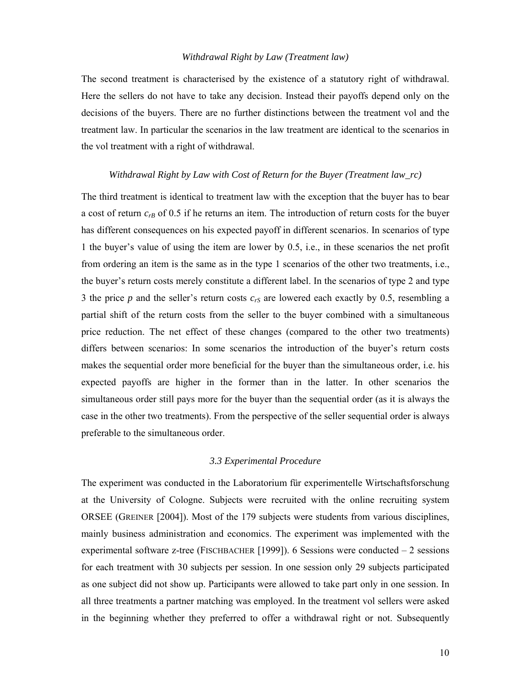#### *Withdrawal Right by Law (Treatment law)*

The second treatment is characterised by the existence of a statutory right of withdrawal. Here the sellers do not have to take any decision. Instead their payoffs depend only on the decisions of the buyers. There are no further distinctions between the treatment vol and the treatment law. In particular the scenarios in the law treatment are identical to the scenarios in the vol treatment with a right of withdrawal.

#### *Withdrawal Right by Law with Cost of Return for the Buyer (Treatment law\_rc)*

The third treatment is identical to treatment law with the exception that the buyer has to bear a cost of return  $c_{rB}$  of 0.5 if he returns an item. The introduction of return costs for the buyer has different consequences on his expected payoff in different scenarios. In scenarios of type 1 the buyer's value of using the item are lower by 0.5, i.e., in these scenarios the net profit from ordering an item is the same as in the type 1 scenarios of the other two treatments, i.e., the buyer's return costs merely constitute a different label. In the scenarios of type 2 and type 3 the price  $p$  and the seller's return costs  $c_{rs}$  are lowered each exactly by 0.5, resembling a partial shift of the return costs from the seller to the buyer combined with a simultaneous price reduction. The net effect of these changes (compared to the other two treatments) differs between scenarios: In some scenarios the introduction of the buyer's return costs makes the sequential order more beneficial for the buyer than the simultaneous order, i.e. his expected payoffs are higher in the former than in the latter. In other scenarios the simultaneous order still pays more for the buyer than the sequential order (as it is always the case in the other two treatments). From the perspective of the seller sequential order is always preferable to the simultaneous order.

#### *3.3 Experimental Procedure*

The experiment was conducted in the Laboratorium für experimentelle Wirtschaftsforschung at the University of Cologne. Subjects were recruited with the online recruiting system ORSEE (GREINER [2004]). Most of the 179 subjects were students from various disciplines, mainly business administration and economics. The experiment was implemented with the experimental software z-tree (FISCHBACHER [1999]). 6 Sessions were conducted – 2 sessions for each treatment with 30 subjects per session. In one session only 29 subjects participated as one subject did not show up. Participants were allowed to take part only in one session. In all three treatments a partner matching was employed. In the treatment vol sellers were asked in the beginning whether they preferred to offer a withdrawal right or not. Subsequently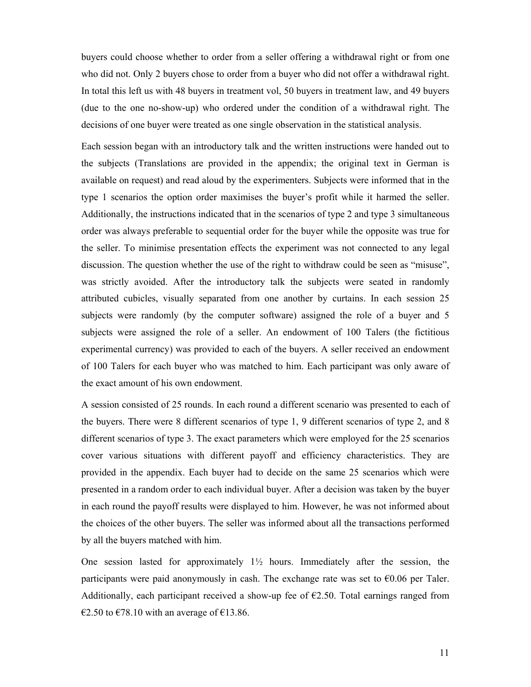buyers could choose whether to order from a seller offering a withdrawal right or from one who did not. Only 2 buyers chose to order from a buyer who did not offer a withdrawal right. In total this left us with 48 buyers in treatment vol, 50 buyers in treatment law, and 49 buyers (due to the one no-show-up) who ordered under the condition of a withdrawal right. The decisions of one buyer were treated as one single observation in the statistical analysis.

Each session began with an introductory talk and the written instructions were handed out to the subjects (Translations are provided in the appendix; the original text in German is available on request) and read aloud by the experimenters. Subjects were informed that in the type 1 scenarios the option order maximises the buyer's profit while it harmed the seller. Additionally, the instructions indicated that in the scenarios of type 2 and type 3 simultaneous order was always preferable to sequential order for the buyer while the opposite was true for the seller. To minimise presentation effects the experiment was not connected to any legal discussion. The question whether the use of the right to withdraw could be seen as "misuse", was strictly avoided. After the introductory talk the subjects were seated in randomly attributed cubicles, visually separated from one another by curtains. In each session 25 subjects were randomly (by the computer software) assigned the role of a buyer and 5 subjects were assigned the role of a seller. An endowment of 100 Talers (the fictitious experimental currency) was provided to each of the buyers. A seller received an endowment of 100 Talers for each buyer who was matched to him. Each participant was only aware of the exact amount of his own endowment.

A session consisted of 25 rounds. In each round a different scenario was presented to each of the buyers. There were 8 different scenarios of type 1, 9 different scenarios of type 2, and 8 different scenarios of type 3. The exact parameters which were employed for the 25 scenarios cover various situations with different payoff and efficiency characteristics. They are provided in the appendix. Each buyer had to decide on the same 25 scenarios which were presented in a random order to each individual buyer. After a decision was taken by the buyer in each round the payoff results were displayed to him. However, he was not informed about the choices of the other buyers. The seller was informed about all the transactions performed by all the buyers matched with him.

One session lasted for approximately  $1\frac{1}{2}$  hours. Immediately after the session, the participants were paid anonymously in cash. The exchange rate was set to  $\epsilon 0.06$  per Taler. Additionally, each participant received a show-up fee of  $\epsilon$ 2.50. Total earnings ranged from €2.50 to €78.10 with an average of €13.86.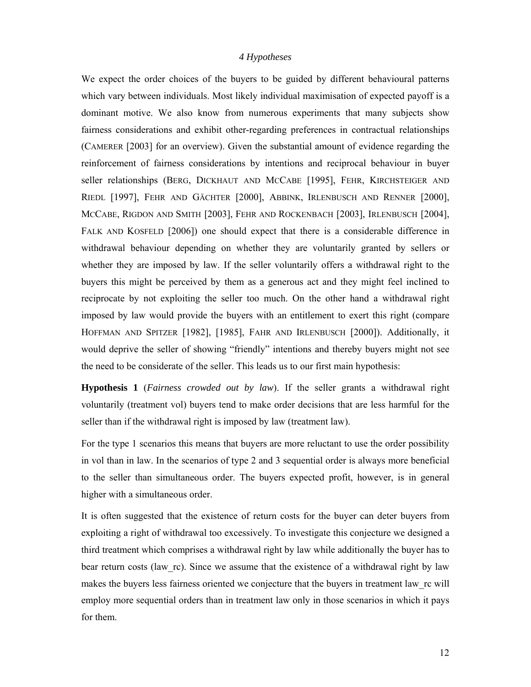# *4 Hypotheses*

We expect the order choices of the buyers to be guided by different behavioural patterns which vary between individuals. Most likely individual maximisation of expected payoff is a dominant motive. We also know from numerous experiments that many subjects show fairness considerations and exhibit other-regarding preferences in contractual relationships (CAMERER [2003] for an overview). Given the substantial amount of evidence regarding the reinforcement of fairness considerations by intentions and reciprocal behaviour in buyer seller relationships (BERG, DICKHAUT AND MCCABE [1995], FEHR, KIRCHSTEIGER AND RIEDL [1997], FEHR AND GÄCHTER [2000], ABBINK, IRLENBUSCH AND RENNER [2000], MCCABE, RIGDON AND SMITH [2003], FEHR AND ROCKENBACH [2003], IRLENBUSCH [2004], FALK AND KOSFELD [2006]) one should expect that there is a considerable difference in withdrawal behaviour depending on whether they are voluntarily granted by sellers or whether they are imposed by law. If the seller voluntarily offers a withdrawal right to the buyers this might be perceived by them as a generous act and they might feel inclined to reciprocate by not exploiting the seller too much. On the other hand a withdrawal right imposed by law would provide the buyers with an entitlement to exert this right (compare HOFFMAN AND SPITZER [1982], [1985], FAHR AND IRLENBUSCH [2000]). Additionally, it would deprive the seller of showing "friendly" intentions and thereby buyers might not see the need to be considerate of the seller. This leads us to our first main hypothesis:

**Hypothesis 1** (*Fairness crowded out by law*). If the seller grants a withdrawal right voluntarily (treatment vol) buyers tend to make order decisions that are less harmful for the seller than if the withdrawal right is imposed by law (treatment law).

For the type 1 scenarios this means that buyers are more reluctant to use the order possibility in vol than in law. In the scenarios of type 2 and 3 sequential order is always more beneficial to the seller than simultaneous order. The buyers expected profit, however, is in general higher with a simultaneous order.

It is often suggested that the existence of return costs for the buyer can deter buyers from exploiting a right of withdrawal too excessively. To investigate this conjecture we designed a third treatment which comprises a withdrawal right by law while additionally the buyer has to bear return costs (law rc). Since we assume that the existence of a withdrawal right by law makes the buyers less fairness oriented we conjecture that the buyers in treatment law rc will employ more sequential orders than in treatment law only in those scenarios in which it pays for them.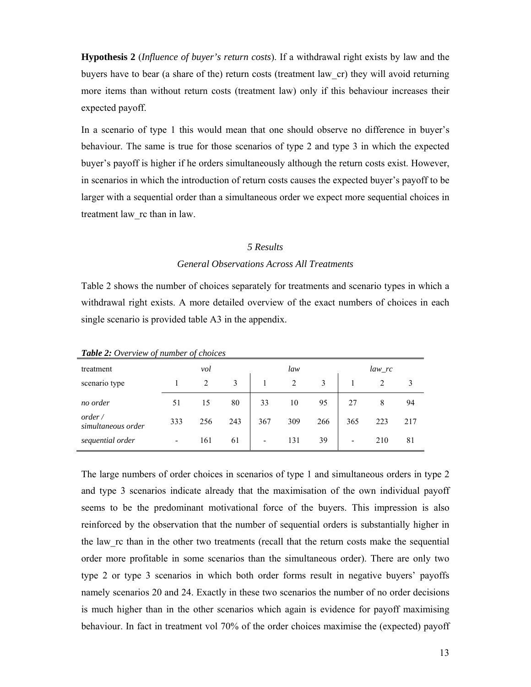**Hypothesis 2** (*Influence of buyer's return costs*). If a withdrawal right exists by law and the buyers have to bear (a share of the) return costs (treatment law\_cr) they will avoid returning more items than without return costs (treatment law) only if this behaviour increases their expected payoff.

In a scenario of type 1 this would mean that one should observe no difference in buyer's behaviour. The same is true for those scenarios of type 2 and type 3 in which the expected buyer's payoff is higher if he orders simultaneously although the return costs exist. However, in scenarios in which the introduction of return costs causes the expected buyer's payoff to be larger with a sequential order than a simultaneous order we expect more sequential choices in treatment law\_rc than in law.

## *5 Results*

# *General Observations Across All Treatments*

Table 2 shows the number of choices separately for treatments and scenario types in which a withdrawal right exists. A more detailed overview of the exact numbers of choices in each single scenario is provided table A3 in the appendix.

| treatment                    | vol |     |     | law |                |     | law_rc |     |     |
|------------------------------|-----|-----|-----|-----|----------------|-----|--------|-----|-----|
| scenario type                |     | 2   | 3   |     | $\overline{2}$ |     |        | 2   |     |
| no order                     | 51  | 15  | 80  | 33  | 10             | 95  | 27     | 8   | 94  |
| order/<br>simultaneous order | 333 | 256 | 243 | 367 | 309            | 266 | 365    | 223 | 217 |
| sequential order             |     | 161 | 61  | ۰   | 131            | 39  | -      | 210 | 81  |

*Table 2: Overview of number of choices* 

The large numbers of order choices in scenarios of type 1 and simultaneous orders in type 2 and type 3 scenarios indicate already that the maximisation of the own individual payoff seems to be the predominant motivational force of the buyers. This impression is also reinforced by the observation that the number of sequential orders is substantially higher in the law\_rc than in the other two treatments (recall that the return costs make the sequential order more profitable in some scenarios than the simultaneous order). There are only two type 2 or type 3 scenarios in which both order forms result in negative buyers' payoffs namely scenarios 20 and 24. Exactly in these two scenarios the number of no order decisions is much higher than in the other scenarios which again is evidence for payoff maximising behaviour. In fact in treatment vol 70% of the order choices maximise the (expected) payoff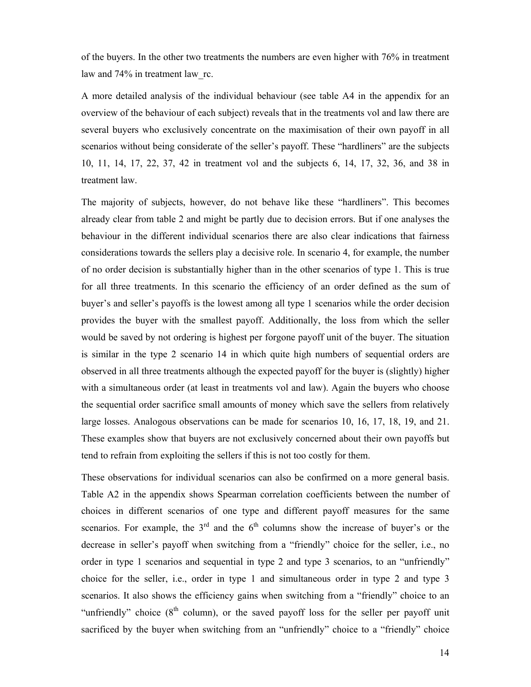of the buyers. In the other two treatments the numbers are even higher with 76% in treatment law and 74% in treatment law rc.

A more detailed analysis of the individual behaviour (see table A4 in the appendix for an overview of the behaviour of each subject) reveals that in the treatments vol and law there are several buyers who exclusively concentrate on the maximisation of their own payoff in all scenarios without being considerate of the seller's payoff. These "hardliners" are the subjects 10, 11, 14, 17, 22, 37, 42 in treatment vol and the subjects 6, 14, 17, 32, 36, and 38 in treatment law.

The majority of subjects, however, do not behave like these "hardliners". This becomes already clear from table 2 and might be partly due to decision errors. But if one analyses the behaviour in the different individual scenarios there are also clear indications that fairness considerations towards the sellers play a decisive role. In scenario 4, for example, the number of no order decision is substantially higher than in the other scenarios of type 1. This is true for all three treatments. In this scenario the efficiency of an order defined as the sum of buyer's and seller's payoffs is the lowest among all type 1 scenarios while the order decision provides the buyer with the smallest payoff. Additionally, the loss from which the seller would be saved by not ordering is highest per forgone payoff unit of the buyer. The situation is similar in the type 2 scenario 14 in which quite high numbers of sequential orders are observed in all three treatments although the expected payoff for the buyer is (slightly) higher with a simultaneous order (at least in treatments vol and law). Again the buyers who choose the sequential order sacrifice small amounts of money which save the sellers from relatively large losses. Analogous observations can be made for scenarios 10, 16, 17, 18, 19, and 21. These examples show that buyers are not exclusively concerned about their own payoffs but tend to refrain from exploiting the sellers if this is not too costly for them.

These observations for individual scenarios can also be confirmed on a more general basis. Table A2 in the appendix shows Spearman correlation coefficients between the number of choices in different scenarios of one type and different payoff measures for the same scenarios. For example, the  $3<sup>rd</sup>$  and the  $6<sup>th</sup>$  columns show the increase of buyer's or the decrease in seller's payoff when switching from a "friendly" choice for the seller, i.e., no order in type 1 scenarios and sequential in type 2 and type 3 scenarios, to an "unfriendly" choice for the seller, i.e., order in type 1 and simultaneous order in type 2 and type 3 scenarios. It also shows the efficiency gains when switching from a "friendly" choice to an "unfriendly" choice  $(8<sup>th</sup>$  column), or the saved payoff loss for the seller per payoff unit sacrificed by the buyer when switching from an "unfriendly" choice to a "friendly" choice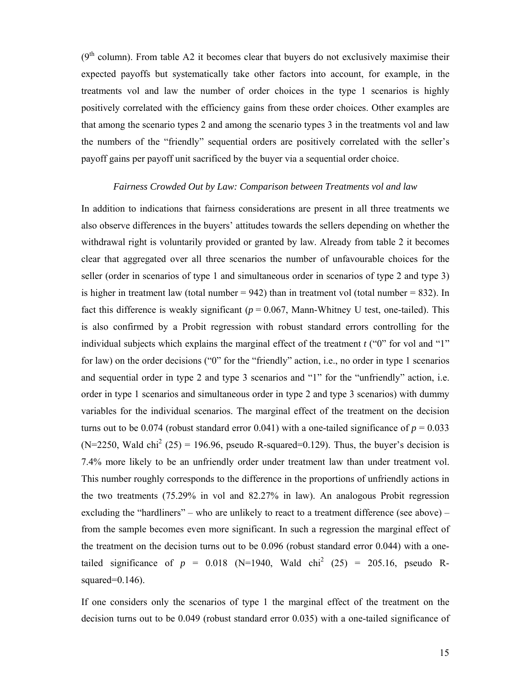$(9<sup>th</sup>$  column). From table A2 it becomes clear that buyers do not exclusively maximise their expected payoffs but systematically take other factors into account, for example, in the treatments vol and law the number of order choices in the type 1 scenarios is highly positively correlated with the efficiency gains from these order choices. Other examples are that among the scenario types 2 and among the scenario types 3 in the treatments vol and law the numbers of the "friendly" sequential orders are positively correlated with the seller's payoff gains per payoff unit sacrificed by the buyer via a sequential order choice.

# *Fairness Crowded Out by Law: Comparison between Treatments vol and law*

In addition to indications that fairness considerations are present in all three treatments we also observe differences in the buyers' attitudes towards the sellers depending on whether the withdrawal right is voluntarily provided or granted by law. Already from table 2 it becomes clear that aggregated over all three scenarios the number of unfavourable choices for the seller (order in scenarios of type 1 and simultaneous order in scenarios of type 2 and type 3) is higher in treatment law (total number  $= 942$ ) than in treatment vol (total number  $= 832$ ). In fact this difference is weakly significant ( $p = 0.067$ , Mann-Whitney U test, one-tailed). This is also confirmed by a Probit regression with robust standard errors controlling for the individual subjects which explains the marginal effect of the treatment *t* ("0" for vol and "1" for law) on the order decisions ("0" for the "friendly" action, i.e., no order in type 1 scenarios and sequential order in type 2 and type 3 scenarios and "1" for the "unfriendly" action, i.e. order in type 1 scenarios and simultaneous order in type 2 and type 3 scenarios) with dummy variables for the individual scenarios. The marginal effect of the treatment on the decision turns out to be 0.074 (robust standard error 0.041) with a one-tailed significance of  $p = 0.033$  $(N=2250,$  Wald chi<sup>2</sup> (25) = 196.96, pseudo R-squared=0.129). Thus, the buyer's decision is 7.4% more likely to be an unfriendly order under treatment law than under treatment vol. This number roughly corresponds to the difference in the proportions of unfriendly actions in the two treatments (75.29% in vol and 82.27% in law). An analogous Probit regression excluding the "hardliners" – who are unlikely to react to a treatment difference (see above) – from the sample becomes even more significant. In such a regression the marginal effect of the treatment on the decision turns out to be 0.096 (robust standard error 0.044) with a onetailed significance of  $p = 0.018$  (N=1940, Wald chi<sup>2</sup> (25) = 205.16, pseudo Rsquared=0.146).

If one considers only the scenarios of type 1 the marginal effect of the treatment on the decision turns out to be 0.049 (robust standard error 0.035) with a one-tailed significance of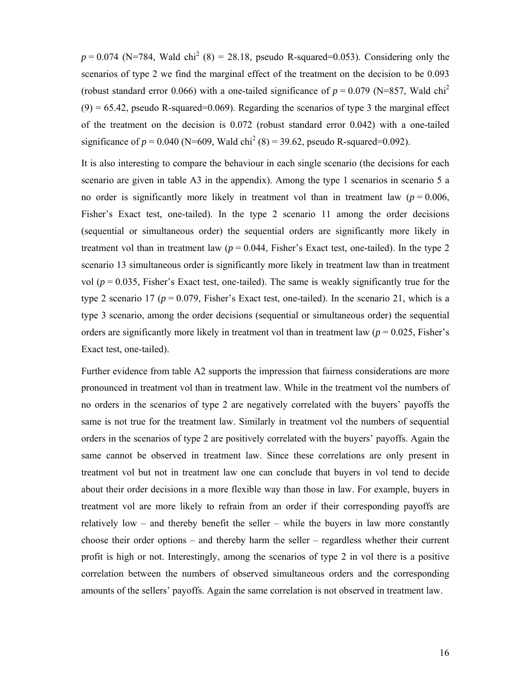$p = 0.074$  (N=784, Wald chi<sup>2</sup> (8) = 28.18, pseudo R-squared=0.053). Considering only the scenarios of type 2 we find the marginal effect of the treatment on the decision to be 0.093 (robust standard error 0.066) with a one-tailed significance of  $p = 0.079$  (N=857, Wald chi<sup>2</sup>)  $(9) = 65.42$ , pseudo R-squared=0.069). Regarding the scenarios of type 3 the marginal effect of the treatment on the decision is 0.072 (robust standard error 0.042) with a one-tailed significance of  $p = 0.040$  (N=609, Wald chi<sup>2</sup> (8) = 39.62, pseudo R-squared=0.092).

It is also interesting to compare the behaviour in each single scenario (the decisions for each scenario are given in table A3 in the appendix). Among the type 1 scenarios in scenario 5 a no order is significantly more likely in treatment vol than in treatment law  $(p = 0.006$ , Fisher's Exact test, one-tailed). In the type 2 scenario 11 among the order decisions (sequential or simultaneous order) the sequential orders are significantly more likely in treatment vol than in treatment law  $(p = 0.044,$  Fisher's Exact test, one-tailed). In the type 2 scenario 13 simultaneous order is significantly more likely in treatment law than in treatment vol ( $p = 0.035$ , Fisher's Exact test, one-tailed). The same is weakly significantly true for the type 2 scenario 17 ( $p = 0.079$ , Fisher's Exact test, one-tailed). In the scenario 21, which is a type 3 scenario, among the order decisions (sequential or simultaneous order) the sequential orders are significantly more likely in treatment vol than in treatment law  $(p = 0.025,$  Fisher's Exact test, one-tailed).

Further evidence from table A2 supports the impression that fairness considerations are more pronounced in treatment vol than in treatment law. While in the treatment vol the numbers of no orders in the scenarios of type 2 are negatively correlated with the buyers' payoffs the same is not true for the treatment law. Similarly in treatment vol the numbers of sequential orders in the scenarios of type 2 are positively correlated with the buyers' payoffs. Again the same cannot be observed in treatment law. Since these correlations are only present in treatment vol but not in treatment law one can conclude that buyers in vol tend to decide about their order decisions in a more flexible way than those in law. For example, buyers in treatment vol are more likely to refrain from an order if their corresponding payoffs are relatively low – and thereby benefit the seller – while the buyers in law more constantly choose their order options – and thereby harm the seller – regardless whether their current profit is high or not. Interestingly, among the scenarios of type 2 in vol there is a positive correlation between the numbers of observed simultaneous orders and the corresponding amounts of the sellers' payoffs. Again the same correlation is not observed in treatment law.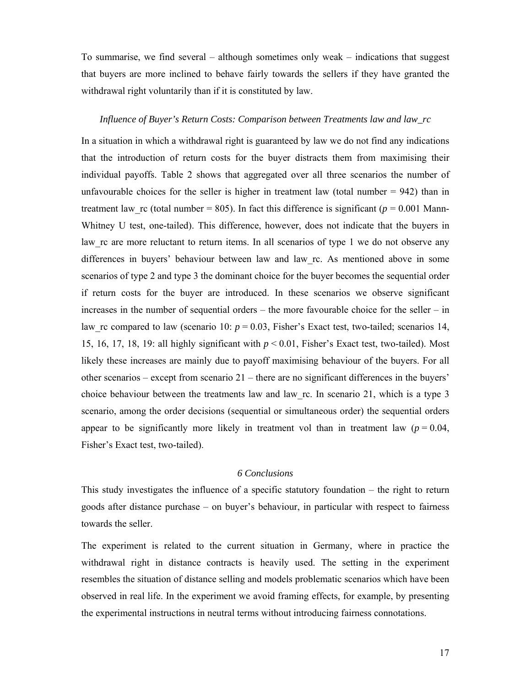To summarise, we find several – although sometimes only weak – indications that suggest that buyers are more inclined to behave fairly towards the sellers if they have granted the withdrawal right voluntarily than if it is constituted by law.

## *Influence of Buyer's Return Costs: Comparison between Treatments law and law\_rc*

In a situation in which a withdrawal right is guaranteed by law we do not find any indications that the introduction of return costs for the buyer distracts them from maximising their individual payoffs. Table 2 shows that aggregated over all three scenarios the number of unfavourable choices for the seller is higher in treatment law (total number  $= 942$ ) than in treatment law rc (total number = 805). In fact this difference is significant ( $p = 0.001$  Mann-Whitney U test, one-tailed). This difference, however, does not indicate that the buyers in law rc are more reluctant to return items. In all scenarios of type 1 we do not observe any differences in buyers' behaviour between law and law\_rc. As mentioned above in some scenarios of type 2 and type 3 the dominant choice for the buyer becomes the sequential order if return costs for the buyer are introduced. In these scenarios we observe significant increases in the number of sequential orders – the more favourable choice for the seller – in law\_rc compared to law (scenario 10:  $p = 0.03$ , Fisher's Exact test, two-tailed; scenarios 14, 15, 16, 17, 18, 19: all highly significant with  $p < 0.01$ , Fisher's Exact test, two-tailed). Most likely these increases are mainly due to payoff maximising behaviour of the buyers. For all other scenarios – except from scenario 21 – there are no significant differences in the buyers' choice behaviour between the treatments law and law\_rc. In scenario 21, which is a type 3 scenario, among the order decisions (sequential or simultaneous order) the sequential orders appear to be significantly more likely in treatment vol than in treatment law  $(p = 0.04,$ Fisher's Exact test, two-tailed).

# *6 Conclusions*

This study investigates the influence of a specific statutory foundation – the right to return goods after distance purchase – on buyer's behaviour, in particular with respect to fairness towards the seller.

The experiment is related to the current situation in Germany, where in practice the withdrawal right in distance contracts is heavily used. The setting in the experiment resembles the situation of distance selling and models problematic scenarios which have been observed in real life. In the experiment we avoid framing effects, for example, by presenting the experimental instructions in neutral terms without introducing fairness connotations.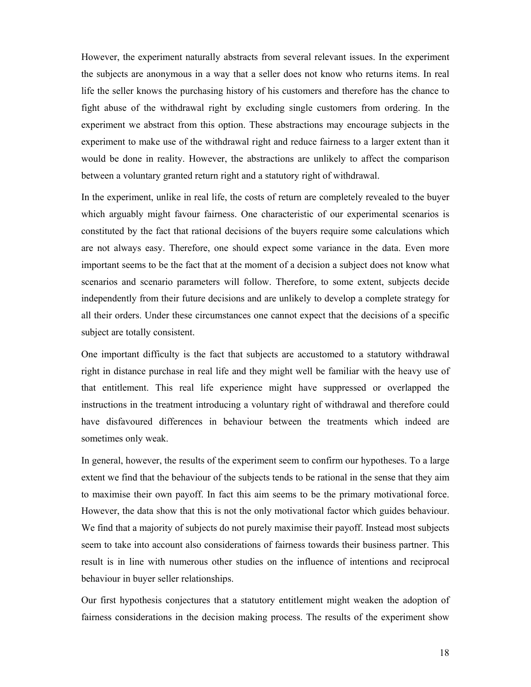However, the experiment naturally abstracts from several relevant issues. In the experiment the subjects are anonymous in a way that a seller does not know who returns items. In real life the seller knows the purchasing history of his customers and therefore has the chance to fight abuse of the withdrawal right by excluding single customers from ordering. In the experiment we abstract from this option. These abstractions may encourage subjects in the experiment to make use of the withdrawal right and reduce fairness to a larger extent than it would be done in reality. However, the abstractions are unlikely to affect the comparison between a voluntary granted return right and a statutory right of withdrawal.

In the experiment, unlike in real life, the costs of return are completely revealed to the buyer which arguably might favour fairness. One characteristic of our experimental scenarios is constituted by the fact that rational decisions of the buyers require some calculations which are not always easy. Therefore, one should expect some variance in the data. Even more important seems to be the fact that at the moment of a decision a subject does not know what scenarios and scenario parameters will follow. Therefore, to some extent, subjects decide independently from their future decisions and are unlikely to develop a complete strategy for all their orders. Under these circumstances one cannot expect that the decisions of a specific subject are totally consistent.

One important difficulty is the fact that subjects are accustomed to a statutory withdrawal right in distance purchase in real life and they might well be familiar with the heavy use of that entitlement. This real life experience might have suppressed or overlapped the instructions in the treatment introducing a voluntary right of withdrawal and therefore could have disfavoured differences in behaviour between the treatments which indeed are sometimes only weak.

In general, however, the results of the experiment seem to confirm our hypotheses. To a large extent we find that the behaviour of the subjects tends to be rational in the sense that they aim to maximise their own payoff. In fact this aim seems to be the primary motivational force. However, the data show that this is not the only motivational factor which guides behaviour. We find that a majority of subjects do not purely maximise their payoff. Instead most subjects seem to take into account also considerations of fairness towards their business partner. This result is in line with numerous other studies on the influence of intentions and reciprocal behaviour in buyer seller relationships.

Our first hypothesis conjectures that a statutory entitlement might weaken the adoption of fairness considerations in the decision making process. The results of the experiment show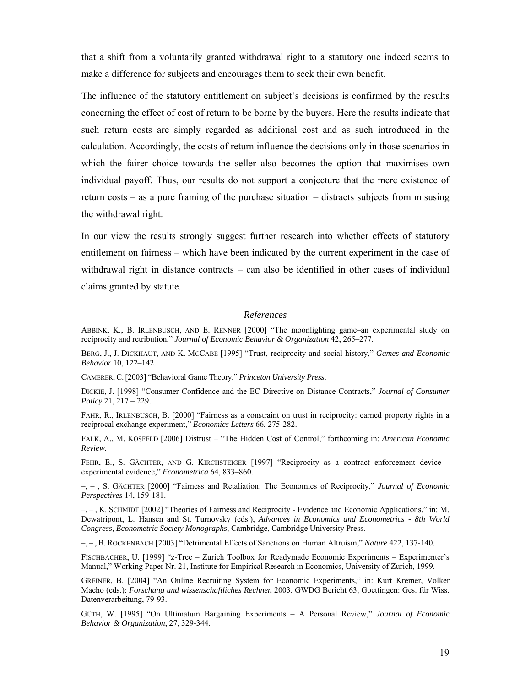that a shift from a voluntarily granted withdrawal right to a statutory one indeed seems to make a difference for subjects and encourages them to seek their own benefit.

The influence of the statutory entitlement on subject's decisions is confirmed by the results concerning the effect of cost of return to be borne by the buyers. Here the results indicate that such return costs are simply regarded as additional cost and as such introduced in the calculation. Accordingly, the costs of return influence the decisions only in those scenarios in which the fairer choice towards the seller also becomes the option that maximises own individual payoff. Thus, our results do not support a conjecture that the mere existence of return costs – as a pure framing of the purchase situation – distracts subjects from misusing the withdrawal right.

In our view the results strongly suggest further research into whether effects of statutory entitlement on fairness – which have been indicated by the current experiment in the case of withdrawal right in distance contracts – can also be identified in other cases of individual claims granted by statute.

#### *References*

ABBINK, K., B. IRLENBUSCH, AND E. RENNER [2000] "The moonlighting game–an experimental study on reciprocity and retribution," *Journal of Economic Behavior & Organization* 42, 265–277.

BERG, J., J. DICKHAUT, AND K. MCCABE [1995] "Trust, reciprocity and social history," *Games and Economic Behavior* 10, 122–142.

CAMERER, C.[2003] "Behavioral Game Theory," *Princeton University Press*.

DICKIE, J. [1998] "Consumer Confidence and the EC Directive on Distance Contracts," *Journal of Consumer Policy* 21, 217 – 229.

FAHR, R., IRLENBUSCH, B. [2000] "Fairness as a constraint on trust in reciprocity: earned property rights in a reciprocal exchange experiment," *Economics Letters* 66, 275-282.

FALK, A., M. KOSFELD [2006] Distrust – "The Hidden Cost of Control," forthcoming in: *American Economic Review.*

FEHR, E., S. GÄCHTER, AND G. KIRCHSTEIGER [1997] "Reciprocity as a contract enforcement deviceexperimental evidence," *Econometrica* 64, 833–860.

–, – , S. GÄCHTER [2000] "Fairness and Retaliation: The Economics of Reciprocity," *Journal of Economic Perspectives* 14, 159-181.

–, – , K. SCHMIDT [2002] "Theories of Fairness and Reciprocity - Evidence and Economic Applications," in: M. Dewatripont, L. Hansen and St. Turnovsky (eds.), *Advances in Economics and Econometrics - 8th World Congress, Econometric Society Monographs*, Cambridge, Cambridge University Press.

–, – , B. ROCKENBACH [2003] "Detrimental Effects of Sanctions on Human Altruism," *Nature* 422, 137-140.

FISCHBACHER, U. [1999] "z-Tree – Zurich Toolbox for Readymade Economic Experiments – Experimenter's Manual," Working Paper Nr. 21, Institute for Empirical Research in Economics, University of Zurich, 1999.

GREINER, B. [2004] "An Online Recruiting System for Economic Experiments," in: Kurt Kremer, Volker Macho (eds.): *Forschung und wissenschaftliches Rechnen* 2003. GWDG Bericht 63, Goettingen: Ges. für Wiss. Datenverarbeitung, 79-93.

GÜTH, W. [1995] "On Ultimatum Bargaining Experiments – A Personal Review," *Journal of Economic Behavior & Organization*, 27, 329-344.